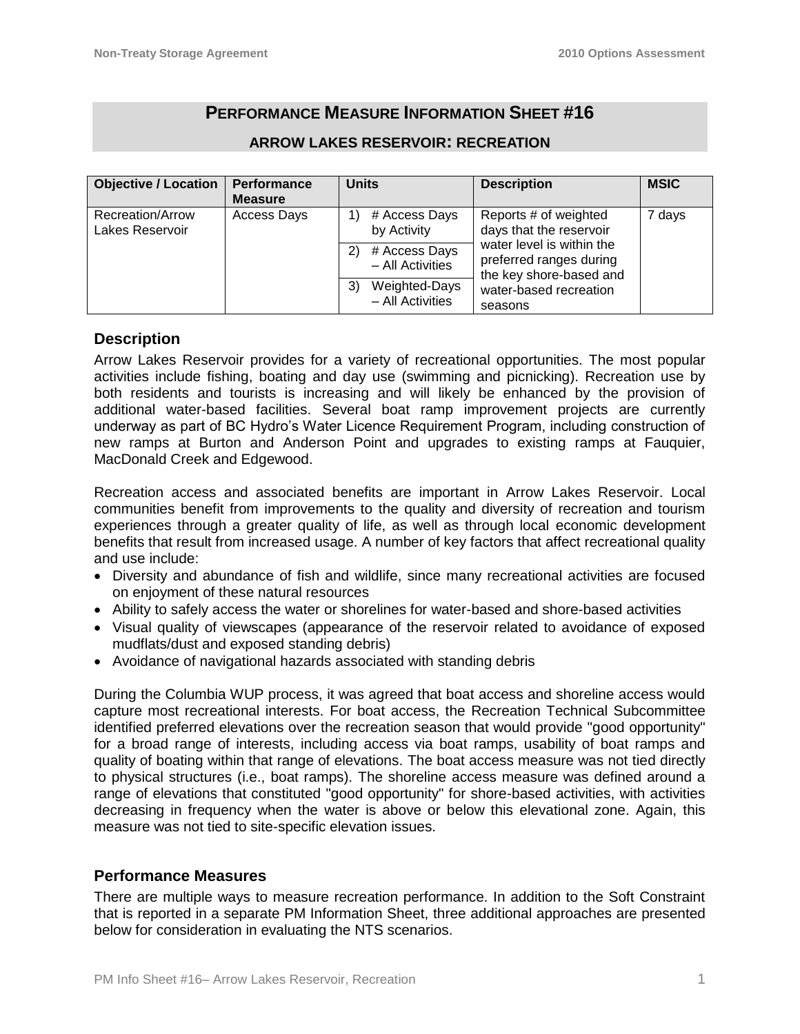# **PERFORMANCE MEASURE INFORMATION SHEET #16**

| <b>Objective / Location</b>         | Performance<br><b>Measure</b> | <b>Units</b>                            | <b>Description</b>                                                              | <b>MSIC</b> |
|-------------------------------------|-------------------------------|-----------------------------------------|---------------------------------------------------------------------------------|-------------|
| Recreation/Arrow<br>Lakes Reservoir | Access Days                   | # Access Days<br>by Activity            | Reports # of weighted<br>days that the reservoir                                | 7 days      |
|                                     |                               | # Access Days<br>2)<br>- All Activities | water level is within the<br>preferred ranges during<br>the key shore-based and |             |
|                                     |                               | Weighted-Days<br>3)<br>- All Activities | water-based recreation<br>seasons                                               |             |

## **ARROW LAKES RESERVOIR: RECREATION**

# **Description**

Arrow Lakes Reservoir provides for a variety of recreational opportunities. The most popular activities include fishing, boating and day use (swimming and picnicking). Recreation use by both residents and tourists is increasing and will likely be enhanced by the provision of additional water-based facilities. Several boat ramp improvement projects are currently underway as part of BC Hydro's Water Licence Requirement Program, including construction of new ramps at Burton and Anderson Point and upgrades to existing ramps at Fauquier, MacDonald Creek and Edgewood.

Recreation access and associated benefits are important in Arrow Lakes Reservoir. Local communities benefit from improvements to the quality and diversity of recreation and tourism experiences through a greater quality of life, as well as through local economic development benefits that result from increased usage. A number of key factors that affect recreational quality and use include:

- Diversity and abundance of fish and wildlife, since many recreational activities are focused on enjoyment of these natural resources
- Ability to safely access the water or shorelines for water-based and shore-based activities
- Visual quality of viewscapes (appearance of the reservoir related to avoidance of exposed mudflats/dust and exposed standing debris)
- Avoidance of navigational hazards associated with standing debris

During the Columbia WUP process, it was agreed that boat access and shoreline access would capture most recreational interests. For boat access, the Recreation Technical Subcommittee identified preferred elevations over the recreation season that would provide "good opportunity" for a broad range of interests, including access via boat ramps, usability of boat ramps and quality of boating within that range of elevations. The boat access measure was not tied directly to physical structures (i.e., boat ramps). The shoreline access measure was defined around a range of elevations that constituted "good opportunity" for shore-based activities, with activities decreasing in frequency when the water is above or below this elevational zone. Again, this measure was not tied to site-specific elevation issues.

## **Performance Measures**

There are multiple ways to measure recreation performance. In addition to the Soft Constraint that is reported in a separate PM Information Sheet, three additional approaches are presented below for consideration in evaluating the NTS scenarios.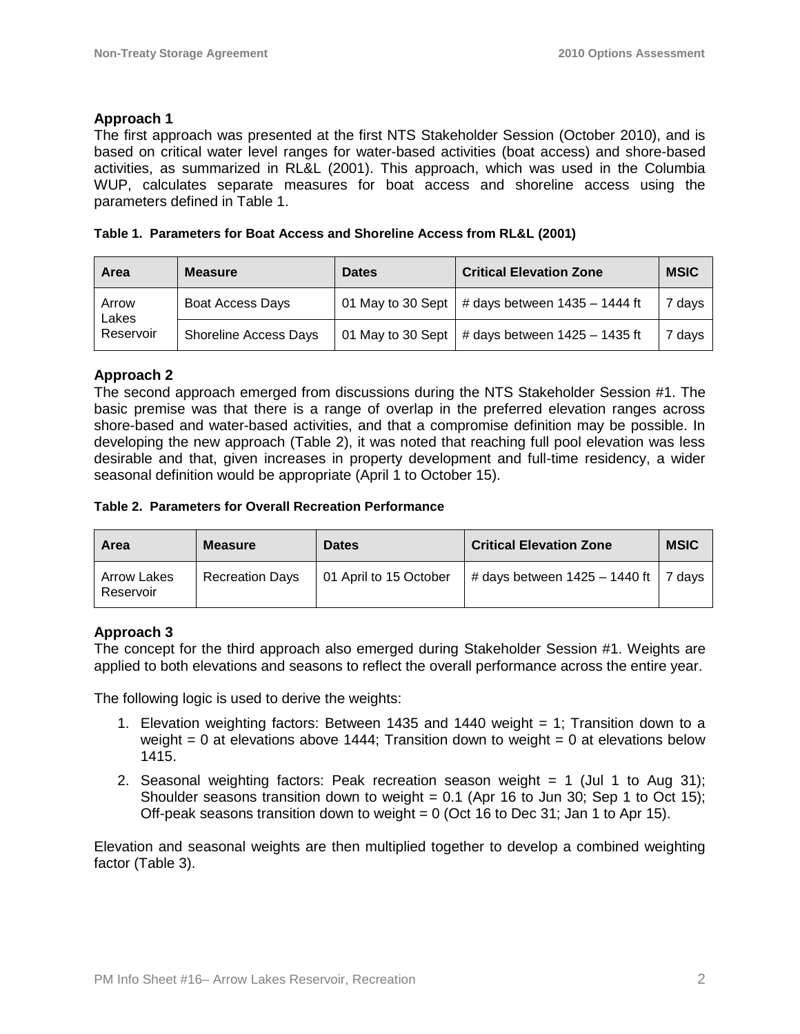#### **Approach 1**

The first approach was presented at the first NTS Stakeholder Session (October 2010), and is based on critical water level ranges for water-based activities (boat access) and shore-based activities, as summarized in RL&L (2001). This approach, which was used in the Columbia WUP, calculates separate measures for boat access and shoreline access using the parameters defined in Table 1.

|  |  | Table 1. Parameters for Boat Access and Shoreline Access from RL&L (2001) |  |  |
|--|--|---------------------------------------------------------------------------|--|--|
|  |  |                                                                           |  |  |

| Area                        | <b>Measure</b>               | <b>Dates</b> | <b>Critical Elevation Zone</b>                      | <b>MSIC</b> |
|-----------------------------|------------------------------|--------------|-----------------------------------------------------|-------------|
| Arrow<br>Lakes<br>Reservoir | Boat Access Days             |              | 01 May to 30 Sept   # days between $1435 - 1444$ ft | 7 days      |
|                             | <b>Shoreline Access Days</b> |              | 01 May to 30 Sept   # days between $1425 - 1435$ ft | 7 days      |

## **Approach 2**

The second approach emerged from discussions during the NTS Stakeholder Session #1. The basic premise was that there is a range of overlap in the preferred elevation ranges across shore-based and water-based activities, and that a compromise definition may be possible. In developing the new approach (Table 2), it was noted that reaching full pool elevation was less desirable and that, given increases in property development and full-time residency, a wider seasonal definition would be appropriate (April 1 to October 15).

#### **Table 2. Parameters for Overall Recreation Performance**

| Area                            | <b>Measure</b>         | <b>Dates</b>           | <b>Critical Elevation Zone</b>                       | <b>MSIC</b> |
|---------------------------------|------------------------|------------------------|------------------------------------------------------|-------------|
| <b>Arrow Lakes</b><br>Reservoir | <b>Recreation Days</b> | 01 April to 15 October | $\vert$ # days between 1425 – 1440 ft $\vert$ 7 days |             |

## **Approach 3**

The concept for the third approach also emerged during Stakeholder Session #1. Weights are applied to both elevations and seasons to reflect the overall performance across the entire year.

The following logic is used to derive the weights:

- 1. Elevation weighting factors: Between 1435 and 1440 weight = 1; Transition down to a weight  $= 0$  at elevations above 1444; Transition down to weight  $= 0$  at elevations below 1415.
- 2. Seasonal weighting factors: Peak recreation season weight = 1 (Jul 1 to Aug 31); Shoulder seasons transition down to weight =  $0.1$  (Apr 16 to Jun 30; Sep 1 to Oct 15); Off-peak seasons transition down to weight =  $0$  (Oct 16 to Dec 31; Jan 1 to Apr 15).

Elevation and seasonal weights are then multiplied together to develop a combined weighting factor (Table 3).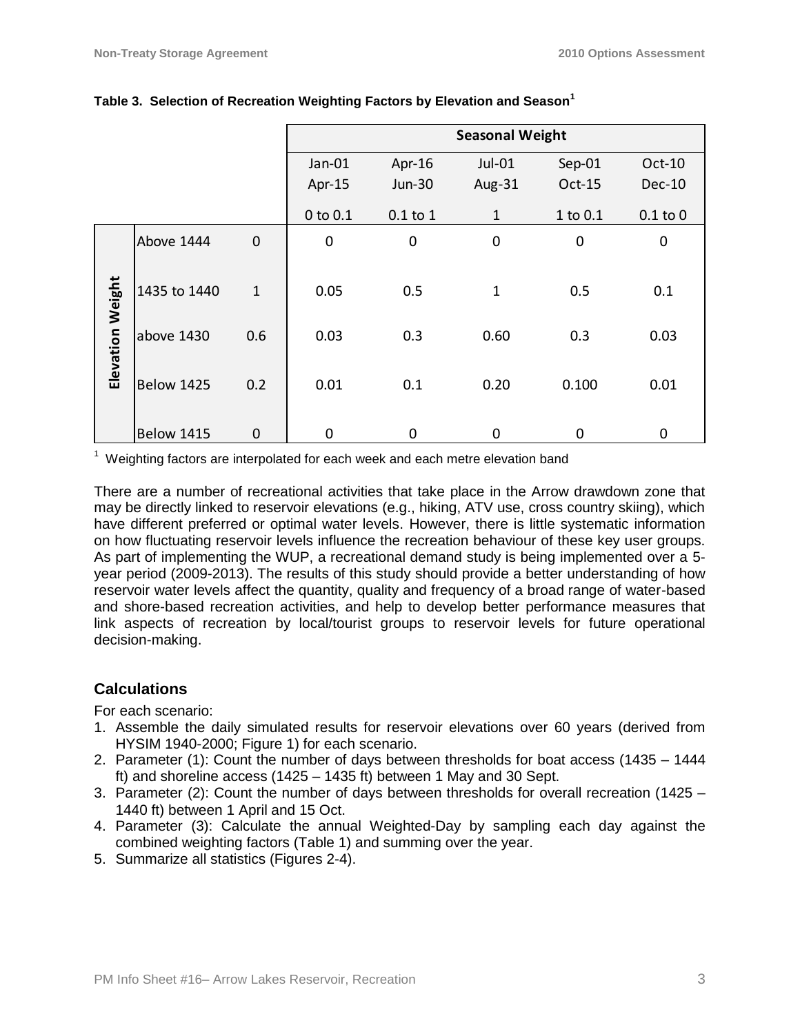|                  |                   |              | <b>Seasonal Weight</b> |               |              |                  |                  |
|------------------|-------------------|--------------|------------------------|---------------|--------------|------------------|------------------|
|                  |                   |              | Jan-01                 | Apr- $16$     | Jul-01       | Sep-01           | Oct-10           |
|                  |                   |              | Apr-15                 | <b>Jun-30</b> | Aug-31       | Oct-15           | <b>Dec-10</b>    |
|                  |                   |              | 0 to 0.1               | $0.1$ to $1$  | $\mathbf{1}$ | 1 to 0.1         | $0.1$ to $0$     |
|                  | Above 1444        | $\mathbf 0$  | $\mathbf 0$            | 0             | $\mathbf 0$  | $\boldsymbol{0}$ | $\boldsymbol{0}$ |
|                  | 1435 to 1440      | $\mathbf{1}$ | 0.05                   | 0.5           | $\mathbf{1}$ | 0.5              | 0.1              |
| Elevation Weight | above 1430        | 0.6          | 0.03                   | 0.3           | 0.60         | 0.3              | 0.03             |
|                  | <b>Below 1425</b> | 0.2          | 0.01                   | 0.1           | 0.20         | 0.100            | 0.01             |
|                  | Below 1415        | $\mathbf 0$  | $\mathbf 0$            | $\mathbf 0$   | 0            | 0                | $\mathbf 0$      |

#### **Table 3. Selection of Recreation Weighting Factors by Elevation and Season<sup>1</sup>**

 $1$  Weighting factors are interpolated for each week and each metre elevation band

There are a number of recreational activities that take place in the Arrow drawdown zone that may be directly linked to reservoir elevations (e.g., hiking, ATV use, cross country skiing), which have different preferred or optimal water levels. However, there is little systematic information on how fluctuating reservoir levels influence the recreation behaviour of these key user groups. As part of implementing the WUP, a recreational demand study is being implemented over a 5 year period (2009-2013). The results of this study should provide a better understanding of how reservoir water levels affect the quantity, quality and frequency of a broad range of water-based and shore-based recreation activities, and help to develop better performance measures that link aspects of recreation by local/tourist groups to reservoir levels for future operational decision-making.

# **Calculations**

For each scenario:

- 1. Assemble the daily simulated results for reservoir elevations over 60 years (derived from HYSIM 1940-2000; Figure 1) for each scenario.
- 2. Parameter (1): Count the number of days between thresholds for boat access (1435 1444 ft) and shoreline access (1425 – 1435 ft) between 1 May and 30 Sept.
- 3. Parameter (2): Count the number of days between thresholds for overall recreation (1425 1440 ft) between 1 April and 15 Oct.
- 4. Parameter (3): Calculate the annual Weighted-Day by sampling each day against the combined weighting factors (Table 1) and summing over the year.
- 5. Summarize all statistics (Figures 2-4).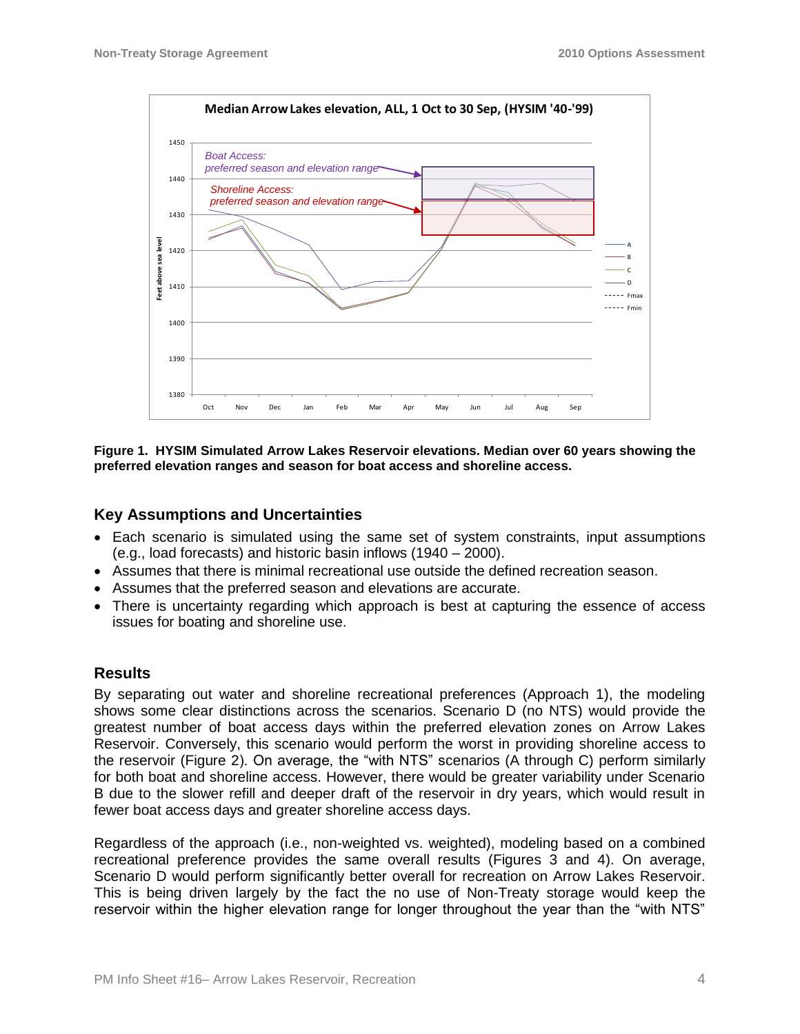

**Figure 1. HYSIM Simulated Arrow Lakes Reservoir elevations. Median over 60 years showing the preferred elevation ranges and season for boat access and shoreline access.**

## **Key Assumptions and Uncertainties**

- Each scenario is simulated using the same set of system constraints, input assumptions (e.g., load forecasts) and historic basin inflows (1940 – 2000).
- Assumes that there is minimal recreational use outside the defined recreation season.
- Assumes that the preferred season and elevations are accurate.
- There is uncertainty regarding which approach is best at capturing the essence of access issues for boating and shoreline use.

#### **Results**

By separating out water and shoreline recreational preferences (Approach 1), the modeling shows some clear distinctions across the scenarios. Scenario D (no NTS) would provide the greatest number of boat access days within the preferred elevation zones on Arrow Lakes Reservoir. Conversely, this scenario would perform the worst in providing shoreline access to the reservoir (Figure 2). On average, the "with NTS" scenarios (A through C) perform similarly for both boat and shoreline access. However, there would be greater variability under Scenario B due to the slower refill and deeper draft of the reservoir in dry years, which would result in fewer boat access days and greater shoreline access days.

Regardless of the approach (i.e., non-weighted vs. weighted), modeling based on a combined recreational preference provides the same overall results (Figures 3 and 4). On average, Scenario D would perform significantly better overall for recreation on Arrow Lakes Reservoir. This is being driven largely by the fact the no use of Non-Treaty storage would keep the reservoir within the higher elevation range for longer throughout the year than the "with NTS"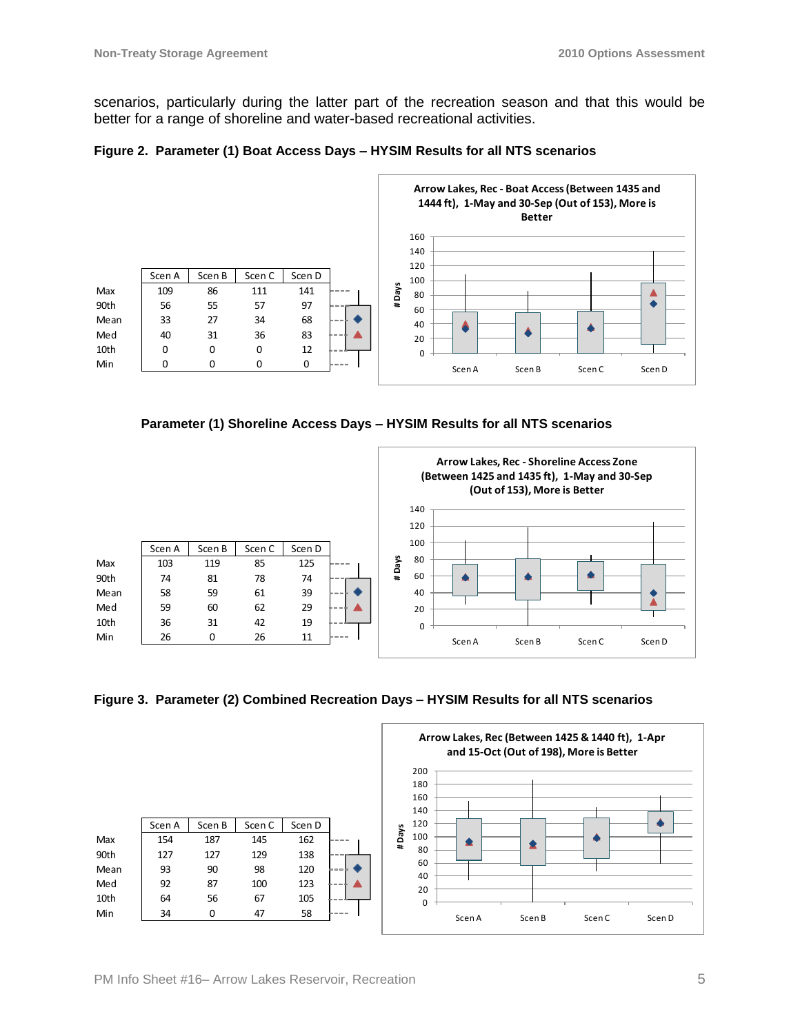scenarios, particularly during the latter part of the recreation season and that this would be better for a range of shoreline and water-based recreational activities.









**Figure 3. Parameter (2) Combined Recreation Days – HYSIM Results for all NTS scenarios**